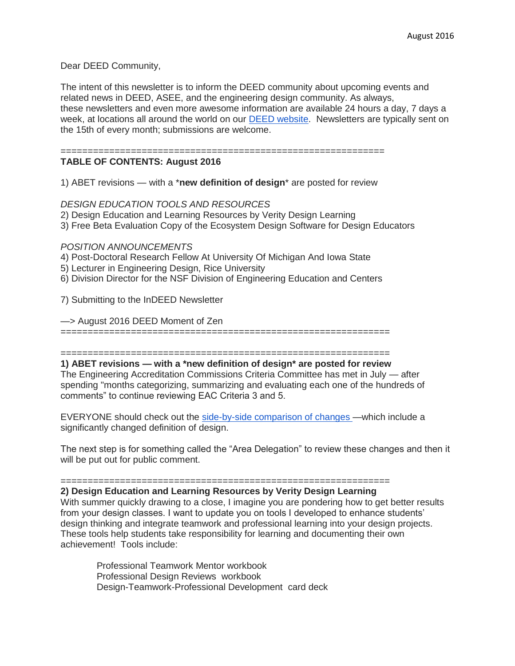Dear DEED Community,

The intent of this newsletter is to inform the DEED community about upcoming events and related news in DEED, ASEE, and the engineering design community. As always, these newsletters and even more awesome information are available 24 hours a day, 7 days a week, at locations all around the world on our [DEED website.](http://deed.asee.org/) Newsletters are typically sent on the 15th of every month; submissions are welcome.

# ============================================================

**TABLE OF CONTENTS: August 2016**

1) ABET revisions — with a \***new definition of design**\* are posted for review

## *DESIGN EDUCATION TOOLS AND RESOURCES*

- 2) Design Education and Learning Resources by Verity Design Learning
- 3) Free Beta Evaluation Copy of the Ecosystem Design Software for Design Educators

#### *POSITION ANNOUNCEMENTS*

4) Post-Doctoral Research Fellow At University Of Michigan And Iowa State

- 5) Lecturer in Engineering Design, Rice University
- 6) Division Director for the NSF Division of Engineering Education and Centers

7) Submitting to the InDEED Newsletter

—> August 2016 DEED Moment of Zen

=============================================================

#### =============================================================

**1) ABET revisions — with a \*new definition of design\* are posted for review** The Engineering Accreditation Commissions Criteria Committee has met in July — after spending "months categorizing, summarizing and evaluating each one of the hundreds of comments" to continue reviewing EAC Criteria 3 and 5.

EVERYONE should check out the [side-by-side comparison of changes](http://www.abet.org/wp-content/uploads/2016/08/EAC-Side-By-Side-Criteria.pdf) —which include a significantly changed definition of design.

The next step is for something called the "Area Delegation" to review these changes and then it will be put out for public comment.

#### =============================================================

## **2) Design Education and Learning Resources by Verity Design Learning**

With summer quickly drawing to a close, I imagine you are pondering how to get better results from your design classes. I want to update you on tools I developed to enhance students' design thinking and integrate teamwork and professional learning into your design projects. These tools help students take responsibility for learning and documenting their own achievement! Tools include:

Professional Teamwork Mentor workbook Professional Design Reviews workbook Design-Teamwork-Professional Development card deck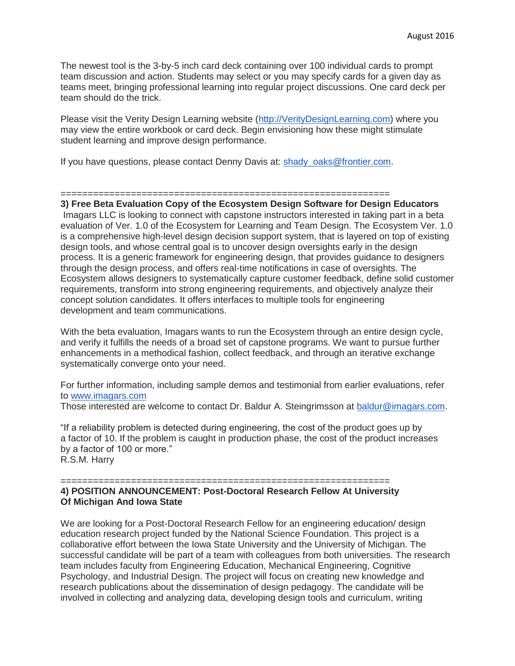The newest tool is the 3-by-5 inch card deck containing over 100 individual cards to prompt team discussion and action. Students may select or you may specify cards for a given day as teams meet, bringing professional learning into regular project discussions. One card deck per team should do the trick.

Please visit the Verity Design Learning website [\(http://VerityDesignLearning.com\)](http://veritydesignlearning.com/) where you may view the entire workbook or card deck. Begin envisioning how these might stimulate student learning and improve design performance.

If you have questions, please contact Denny Davis at: [shady\\_oaks@frontier.com.](mailto:shady_oaks@frontier.com)

#### =============================================================

**3) Free Beta Evaluation Copy of the Ecosystem Design Software for Design Educators** Imagars LLC is looking to connect with capstone instructors interested in taking part in a beta evaluation of Ver. 1.0 of the Ecosystem for Learning and Team Design. The Ecosystem Ver. 1.0 is a comprehensive high-level design decision support system, that is layered on top of existing design tools, and whose central goal is to uncover design oversights early in the design process. It is a generic framework for engineering design, that provides guidance to designers through the design process, and offers real-time notifications in case of oversights. The Ecosystem allows designers to systematically capture customer feedback, define solid customer requirements, transform into strong engineering requirements, and objectively analyze their concept solution candidates. It offers interfaces to multiple tools for engineering development and team communications.

With the beta evaluation, Imagars wants to run the Ecosystem through an entire design cycle, and verify it fulfills the needs of a broad set of capstone programs. We want to pursue further enhancements in a methodical fashion, collect feedback, and through an iterative exchange systematically converge onto your need.

For further information, including sample demos and testimonial from earlier evaluations, refer to [www.imagars.com](http://www.imagars.com/)

Those interested are welcome to contact Dr. Baldur A. Steingrimsson at [baldur@imagars.com.](mailto:baldur@imagars.com)

"If a reliability problem is detected during engineering, the cost of the product goes up by a factor of 10. If the problem is caught in production phase, the cost of the product increases by a factor of 100 or more." R.S.M. Harry

============================================================= **4) POSITION ANNOUNCEMENT: Post-Doctoral Research Fellow At University Of Michigan And Iowa State**

We are looking for a Post-Doctoral Research Fellow for an engineering education/ design education research project funded by the National Science Foundation. This project is a collaborative effort between the Iowa State University and the University of Michigan. The successful candidate will be part of a team with colleagues from both universities. The research team includes faculty from Engineering Education, Mechanical Engineering, Cognitive Psychology, and Industrial Design. The project will focus on creating new knowledge and research publications about the dissemination of design pedagogy. The candidate will be involved in collecting and analyzing data, developing design tools and curriculum, writing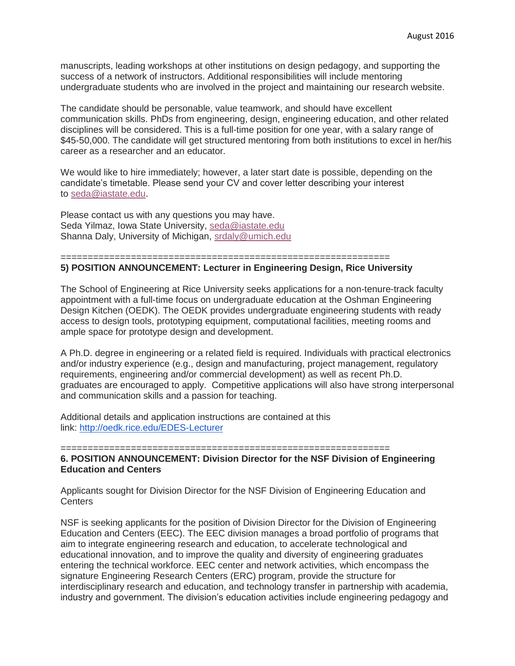manuscripts, leading workshops at other institutions on design pedagogy, and supporting the success of a network of instructors. Additional responsibilities will include mentoring undergraduate students who are involved in the project and maintaining our research website.

The candidate should be personable, value teamwork, and should have excellent communication skills. PhDs from engineering, design, engineering education, and other related disciplines will be considered. This is a full-time position for one year, with a salary range of \$45-50,000. The candidate will get structured mentoring from both institutions to excel in her/his career as a researcher and an educator.

We would like to hire immediately; however, a later start date is possible, depending on the candidate's timetable. Please send your CV and cover letter describing your interest to [seda@iastate.edu.](mailto:seda@iastate.edu)

Please contact us with any questions you may have. Seda Yilmaz, Iowa State University, [seda@iastate.edu](mailto:seda@iastate.edu) Shanna Daly, University of Michigan, [srdaly@umich.edu](mailto:srdaly@umich.edu)

#### =============================================================

# **5) POSITION ANNOUNCEMENT: Lecturer in Engineering Design, Rice University**

The School of Engineering at Rice University seeks applications for a non-tenure-track faculty appointment with a full-time focus on undergraduate education at the Oshman Engineering Design Kitchen (OEDK). The OEDK provides undergraduate engineering students with ready access to design tools, prototyping equipment, computational facilities, meeting rooms and ample space for prototype design and development.

A Ph.D. degree in engineering or a related field is required. Individuals with practical electronics and/or industry experience (e.g., design and manufacturing, project management, regulatory requirements, engineering and/or commercial development) as well as recent Ph.D. graduates are encouraged to apply. Competitive applications will also have strong interpersonal and communication skills and a passion for teaching.

Additional details and application instructions are contained at this link: <http://oedk.rice.edu/EDES-Lecturer>

=============================================================

# **6. POSITION ANNOUNCEMENT: Division Director for the NSF Division of Engineering Education and Centers**

Applicants sought for Division Director for the NSF Division of Engineering Education and **Centers** 

NSF is seeking applicants for the position of Division Director for the Division of Engineering Education and Centers (EEC). The EEC division manages a broad portfolio of programs that aim to integrate engineering research and education, to accelerate technological and educational innovation, and to improve the quality and diversity of engineering graduates entering the technical workforce. EEC center and network activities, which encompass the signature Engineering Research Centers (ERC) program, provide the structure for interdisciplinary research and education, and technology transfer in partnership with academia, industry and government. The division's education activities include engineering pedagogy and